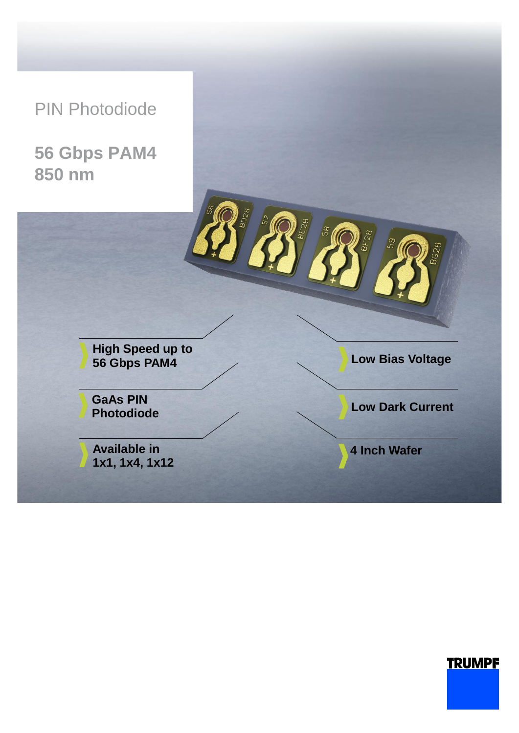PIN Photodiode

**56 Gbps PAM4 850 nm**



# **TRUMPF**